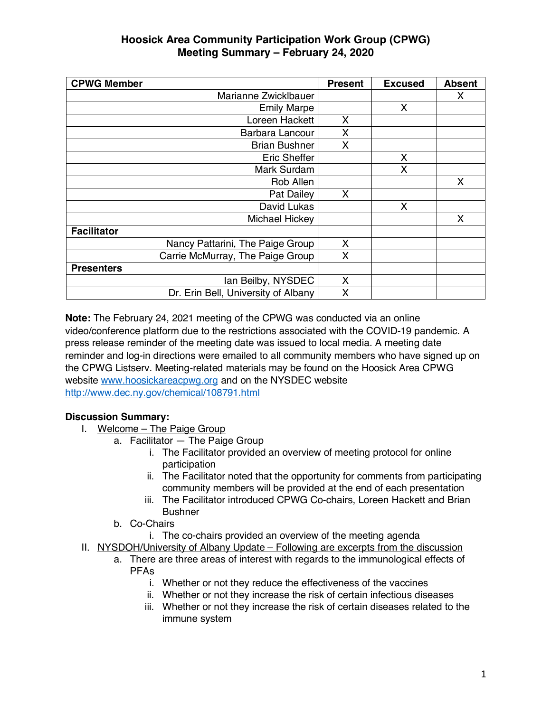## **Hoosick Area Community Participation Work Group (CPWG) Meeting Summary – February 24, 2020**

| <b>CPWG Member</b>                  | <b>Present</b> | <b>Excused</b> | <b>Absent</b> |
|-------------------------------------|----------------|----------------|---------------|
| Marianne Zwicklbauer                |                |                | X             |
| <b>Emily Marpe</b>                  |                | X              |               |
| Loreen Hackett                      | X              |                |               |
| Barbara Lancour                     | X              |                |               |
| <b>Brian Bushner</b>                | X              |                |               |
| <b>Eric Sheffer</b>                 |                | X              |               |
| Mark Surdam                         |                | X              |               |
| Rob Allen                           |                |                | X             |
| Pat Dailey                          | X              |                |               |
| David Lukas                         |                | X              |               |
| Michael Hickey                      |                |                | X             |
| <b>Facilitator</b>                  |                |                |               |
| Nancy Pattarini, The Paige Group    | X              |                |               |
| Carrie McMurray, The Paige Group    | X              |                |               |
| <b>Presenters</b>                   |                |                |               |
| lan Beilby, NYSDEC                  | X              |                |               |
| Dr. Erin Bell, University of Albany | X              |                |               |

**Note:** The February 24, 2021 meeting of the CPWG was conducted via an online video/conference platform due to the restrictions associated with the COVID-19 pandemic. A press release reminder of the meeting date was issued to local media. A meeting date reminder and log-in directions were emailed to all community members who have signed up on the CPWG Listserv. Meeting-related materials may be found on the Hoosick Area CPWG website www.hoosickareacpwg.org and on the NYSDEC website http://www.dec.ny.gov/chemical/108791.html

## **Discussion Summary:**

- I. Welcome The Paige Group
	- a. Facilitator The Paige Group
		- i. The Facilitator provided an overview of meeting protocol for online participation
		- ii. The Facilitator noted that the opportunity for comments from participating community members will be provided at the end of each presentation
		- iii. The Facilitator introduced CPWG Co-chairs, Loreen Hackett and Brian **Bushner**
	- b. Co-Chairs
		- i. The co-chairs provided an overview of the meeting agenda
- II. NYSDOH/University of Albany Update Following are excerpts from the discussion
	- a. There are three areas of interest with regards to the immunological effects of PFAs
		- i. Whether or not they reduce the effectiveness of the vaccines
		- ii. Whether or not they increase the risk of certain infectious diseases
		- iii. Whether or not they increase the risk of certain diseases related to the immune system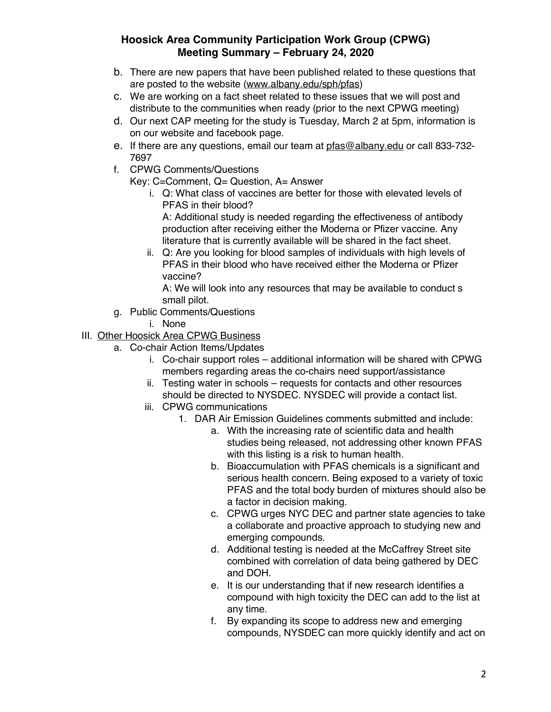## **Hoosick Area Community Participation Work Group (CPWG) Meeting Summary – February 24, 2020**

- b. There are new papers that have been published related to these questions that are posted to the website (www.albany.edu/sph/pfas)
- c. We are working on a fact sheet related to these issues that we will post and distribute to the communities when ready (prior to the next CPWG meeting)
- d. Our next CAP meeting for the study is Tuesday, March 2 at 5pm, information is on our website and facebook page.
- e. If there are any questions, email our team at pfas@albany.edu or call 833-732- 7697
- f. CPWG Comments/Questions

Key: C=Comment, Q= Question, A= Answer

i. Q: What class of vaccines are better for those with elevated levels of PFAS in their blood?

A: Additional study is needed regarding the effectiveness of antibody production after receiving either the Moderna or Pfizer vaccine. Any literature that is currently available will be shared in the fact sheet.

ii. Q: Are you looking for blood samples of individuals with high levels of PFAS in their blood who have received either the Moderna or Pfizer vaccine?

A: We will look into any resources that may be available to conduct s small pilot.

- g. Public Comments/Questions
	- i. None
- III. Other Hoosick Area CPWG Business
	- a. Co-chair Action Items/Updates
		- i. Co-chair support roles additional information will be shared with CPWG members regarding areas the co-chairs need support/assistance
		- ii. Testing water in schools requests for contacts and other resources should be directed to NYSDEC. NYSDEC will provide a contact list.
		- iii. CPWG communications
			- 1. DAR Air Emission Guidelines comments submitted and include:
				- a. With the increasing rate of scientific data and health studies being released, not addressing other known PFAS with this listing is a risk to human health.
				- b. Bioaccumulation with PFAS chemicals is a significant and serious health concern. Being exposed to a variety of toxic PFAS and the total body burden of mixtures should also be a factor in decision making.
				- c. CPWG urges NYC DEC and partner state agencies to take a collaborate and proactive approach to studying new and emerging compounds.
				- d. Additional testing is needed at the McCaffrey Street site combined with correlation of data being gathered by DEC and DOH.
				- e. It is our understanding that if new research identifies a compound with high toxicity the DEC can add to the list at any time.
				- f. By expanding its scope to address new and emerging compounds, NYSDEC can more quickly identify and act on